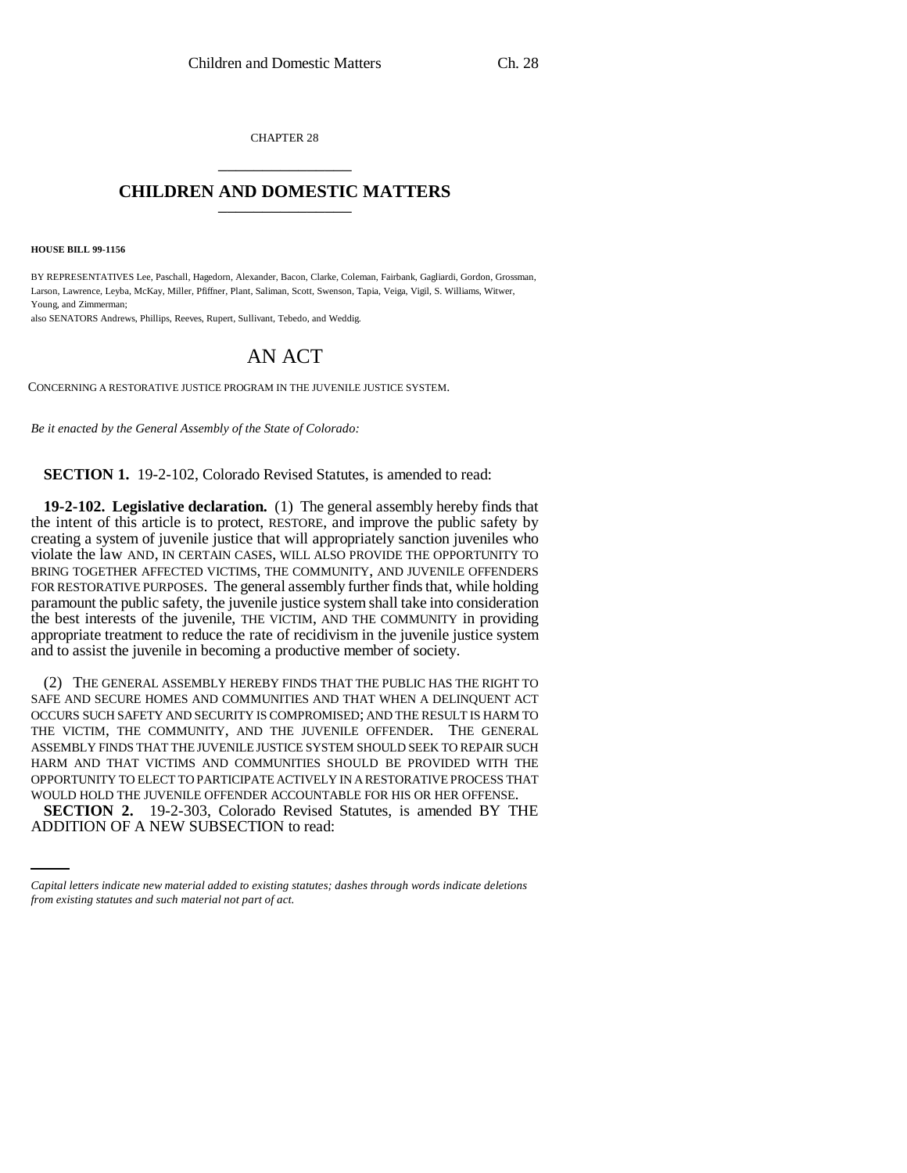CHAPTER 28 \_\_\_\_\_\_\_\_\_\_\_\_\_\_\_

## **CHILDREN AND DOMESTIC MATTERS** \_\_\_\_\_\_\_\_\_\_\_\_\_\_\_

**HOUSE BILL 99-1156**

BY REPRESENTATIVES Lee, Paschall, Hagedorn, Alexander, Bacon, Clarke, Coleman, Fairbank, Gagliardi, Gordon, Grossman, Larson, Lawrence, Leyba, McKay, Miller, Pfiffner, Plant, Saliman, Scott, Swenson, Tapia, Veiga, Vigil, S. Williams, Witwer, Young, and Zimmerman;

also SENATORS Andrews, Phillips, Reeves, Rupert, Sullivant, Tebedo, and Weddig.

## AN ACT

CONCERNING A RESTORATIVE JUSTICE PROGRAM IN THE JUVENILE JUSTICE SYSTEM.

*Be it enacted by the General Assembly of the State of Colorado:*

**SECTION 1.** 19-2-102, Colorado Revised Statutes, is amended to read:

**19-2-102. Legislative declaration.** (1) The general assembly hereby finds that the intent of this article is to protect, RESTORE, and improve the public safety by creating a system of juvenile justice that will appropriately sanction juveniles who violate the law AND, IN CERTAIN CASES, WILL ALSO PROVIDE THE OPPORTUNITY TO BRING TOGETHER AFFECTED VICTIMS, THE COMMUNITY, AND JUVENILE OFFENDERS FOR RESTORATIVE PURPOSES. The general assembly further finds that, while holding paramount the public safety, the juvenile justice system shall take into consideration the best interests of the juvenile, THE VICTIM, AND THE COMMUNITY in providing appropriate treatment to reduce the rate of recidivism in the juvenile justice system and to assist the juvenile in becoming a productive member of society.

WOULD HOLD THE JUVENILE OFFENDER ACCOUNTABLE FOR HIS OR HER OFFENSE. (2) THE GENERAL ASSEMBLY HEREBY FINDS THAT THE PUBLIC HAS THE RIGHT TO SAFE AND SECURE HOMES AND COMMUNITIES AND THAT WHEN A DELINQUENT ACT OCCURS SUCH SAFETY AND SECURITY IS COMPROMISED; AND THE RESULT IS HARM TO THE VICTIM, THE COMMUNITY, AND THE JUVENILE OFFENDER. THE GENERAL ASSEMBLY FINDS THAT THE JUVENILE JUSTICE SYSTEM SHOULD SEEK TO REPAIR SUCH HARM AND THAT VICTIMS AND COMMUNITIES SHOULD BE PROVIDED WITH THE OPPORTUNITY TO ELECT TO PARTICIPATE ACTIVELY IN A RESTORATIVE PROCESS THAT **SECTION 2.** 19-2-303, Colorado Revised Statutes, is amended BY THE ADDITION OF A NEW SUBSECTION to read:

*Capital letters indicate new material added to existing statutes; dashes through words indicate deletions from existing statutes and such material not part of act.*